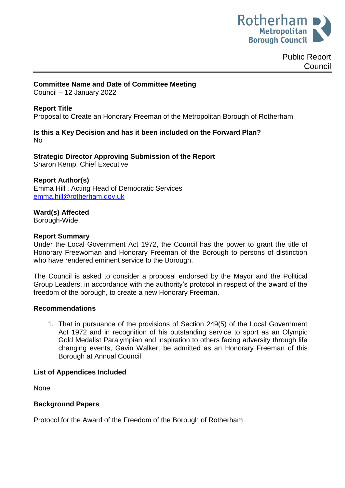

#### **Committee Name and Date of Committee Meeting**

Council – 12 January 2022

## **Report Title**

Proposal to Create an Honorary Freeman of the Metropolitan Borough of Rotherham

## **Is this a Key Decision and has it been included on the Forward Plan?**  No

**Strategic Director Approving Submission of the Report** Sharon Kemp, Chief Executive

# **Report Author(s)**

<span id="page-0-0"></span>Emma Hill , Acting Head of Democratic Services [emma.hill@rotherham.gov.uk](mailto:emma.hill@rotherham.gov.uk)

#### **Ward(s) Affected**

Borough-Wide

#### **Report Summary**

Under the Local Government Act 1972, the Council has the power to grant the title of Honorary Freewoman and Honorary Freeman of the Borough to persons of distinction who have rendered eminent service to the Borough.

The Council is asked to consider a proposal endorsed by the Mayor and the Political Group Leaders, in accordance with the authority's protocol in respect of the award of the freedom of the borough, to create a new Honorary Freeman.

#### **Recommendations**

1. That in pursuance of the provisions of Section 249(5) of the Local Government Act 1972 and in recognition of his outstanding service to sport as an Olympic Gold Medalist Paralympian and inspiration to others facing adversity through life changing events, Gavin Walker, be admitted as an Honorary Freeman of this Borough at Annual Council.

#### **List of Appendices Included**

None

## **Background Papers**

Protocol for the Award of the Freedom of the Borough of Rotherham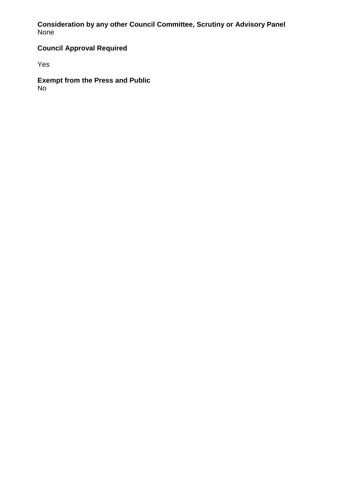# **Consideration by any other Council Committee, Scrutiny or Advisory Panel** None

# **Council Approval Required**

Yes

**Exempt from the Press and Public** No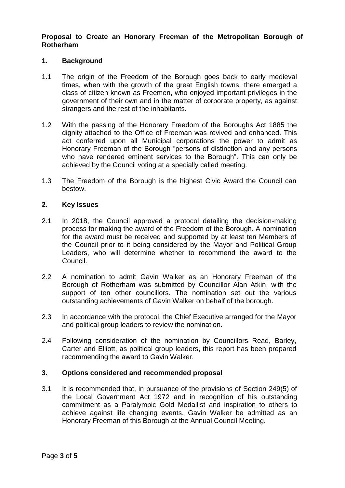## **Proposal to Create an Honorary Freeman of the Metropolitan Borough of Rotherham**

#### **1. Background**

- 1.1 The origin of the Freedom of the Borough goes back to early medieval times, when with the growth of the great English towns, there emerged a class of citizen known as Freemen, who enjoyed important privileges in the government of their own and in the matter of corporate property, as against strangers and the rest of the inhabitants.
- 1.2 With the passing of the Honorary Freedom of the Boroughs Act 1885 the dignity attached to the Office of Freeman was revived and enhanced. This act conferred upon all Municipal corporations the power to admit as Honorary Freeman of the Borough "persons of distinction and any persons who have rendered eminent services to the Borough". This can only be achieved by the Council voting at a specially called meeting.
- 1.3 The Freedom of the Borough is the highest Civic Award the Council can bestow.

#### **2. Key Issues**

- 2.1 In 2018, the Council approved a protocol detailing the decision-making process for making the award of the Freedom of the Borough. A nomination for the award must be received and supported by at least ten Members of the Council prior to it being considered by the Mayor and Political Group Leaders, who will determine whether to recommend the award to the Council.
- 2.2 A nomination to admit Gavin Walker as an Honorary Freeman of the Borough of Rotherham was submitted by Councillor Alan Atkin, with the support of ten other councillors. The nomination set out the various outstanding achievements of Gavin Walker on behalf of the borough.
- 2.3 In accordance with the protocol, the Chief Executive arranged for the Mayor and political group leaders to review the nomination.
- 2.4 Following consideration of the nomination by Councillors Read, Barley, Carter and Elliott, as political group leaders, this report has been prepared recommending the award to Gavin Walker.

## **3. Options considered and recommended proposal**

3.1 It is recommended that, in pursuance of the provisions of Section 249(5) of the Local Government Act 1972 and in recognition of his outstanding commitment as a Paralympic Gold Medallist and inspiration to others to achieve against life changing events, Gavin Walker be admitted as an Honorary Freeman of this Borough at the Annual Council Meeting.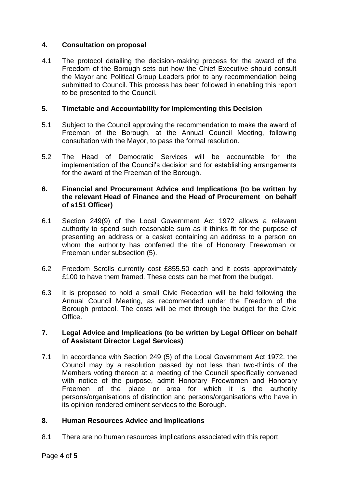# **4. Consultation on proposal**

4.1 The protocol detailing the decision-making process for the award of the Freedom of the Borough sets out how the Chief Executive should consult the Mayor and Political Group Leaders prior to any recommendation being submitted to Council. This process has been followed in enabling this report to be presented to the Council.

# **5. Timetable and Accountability for Implementing this Decision**

- 5.1 Subject to the Council approving the recommendation to make the award of Freeman of the Borough, at the Annual Council Meeting, following consultation with the Mayor, to pass the formal resolution.
- 5.2 The Head of Democratic Services will be accountable for the implementation of the Council's decision and for establishing arrangements for the award of the Freeman of the Borough.

## **6. Financial and Procurement Advice and Implications (to be written by the relevant Head of Finance and the Head of Procurement on behalf of s151 Officer)**

- 6.1 Section 249(9) of the Local Government Act 1972 allows a relevant authority to spend such reasonable sum as it thinks fit for the purpose of presenting an address or a casket containing an address to a person on whom the authority has conferred the title of Honorary Freewoman or Freeman under subsection (5).
- 6.2 Freedom Scrolls currently cost £855.50 each and it costs approximately £100 to have them framed. These costs can be met from the budget.
- 6.3 It is proposed to hold a small Civic Reception will be held following the Annual Council Meeting, as recommended under the Freedom of the Borough protocol. The costs will be met through the budget for the Civic Office.

## **7. Legal Advice and Implications (to be written by Legal Officer on behalf of Assistant Director Legal Services)**

7.1 In accordance with Section 249 (5) of the Local Government Act 1972, the Council may by a resolution passed by not less than two-thirds of the Members voting thereon at a meeting of the Council specifically convened with notice of the purpose, admit Honorary Freewomen and Honorary Freemen of the place or area for which it is the authority persons/organisations of distinction and persons/organisations who have in its opinion rendered eminent services to the Borough.

## **8. Human Resources Advice and Implications**

8.1 There are no human resources implications associated with this report.